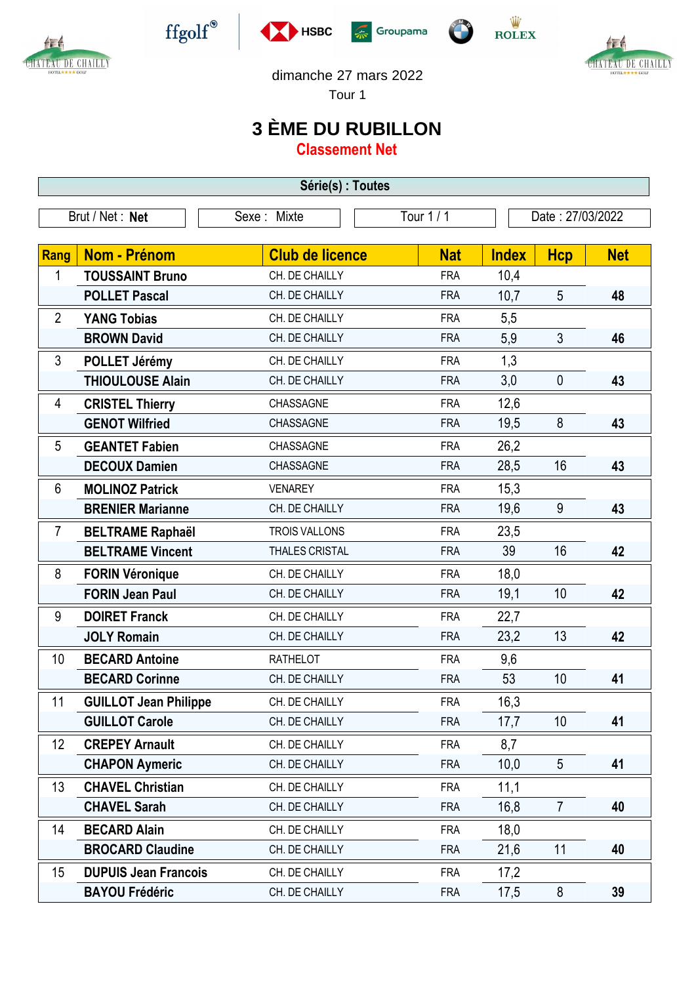

Æ

CHATEAU DE CHAILLY







CHATEAU DE CHAILLY

dimanche 27 mars 2022

Tour 1

## **3 ÈME DU RUBILLON**

**Classement Net**

| Série(s) : Toutes |                              |                        |            |                  |                |            |  |  |  |  |
|-------------------|------------------------------|------------------------|------------|------------------|----------------|------------|--|--|--|--|
| Brut / Net: Net   |                              | Sexe: Mixte            | Tour 1 / 1 | Date: 27/03/2022 |                |            |  |  |  |  |
|                   |                              |                        |            |                  |                |            |  |  |  |  |
| Rang              | Nom - Prénom                 | <b>Club de licence</b> | <b>Nat</b> | <b>Index</b>     | <b>Hcp</b>     | <b>Net</b> |  |  |  |  |
| 1                 | <b>TOUSSAINT Bruno</b>       | CH. DE CHAILLY         | <b>FRA</b> | 10,4             |                |            |  |  |  |  |
|                   | <b>POLLET Pascal</b>         | CH. DE CHAILLY         | <b>FRA</b> | 10,7             | 5              | 48         |  |  |  |  |
| $\overline{2}$    | <b>YANG Tobias</b>           | CH. DE CHAILLY         | <b>FRA</b> | 5,5              |                |            |  |  |  |  |
|                   | <b>BROWN David</b>           | CH. DE CHAILLY         | <b>FRA</b> | 5,9              | 3              | 46         |  |  |  |  |
| 3                 | POLLET Jérémy                | CH. DE CHAILLY         | <b>FRA</b> | 1,3              |                |            |  |  |  |  |
|                   | <b>THIOULOUSE Alain</b>      | CH. DE CHAILLY         | <b>FRA</b> | 3,0              | $\mathbf 0$    | 43         |  |  |  |  |
| 4                 | <b>CRISTEL Thierry</b>       | CHASSAGNE              | <b>FRA</b> | 12,6             |                |            |  |  |  |  |
|                   | <b>GENOT Wilfried</b>        | CHASSAGNE              | <b>FRA</b> | 19,5             | 8              | 43         |  |  |  |  |
| 5                 | <b>GEANTET Fabien</b>        | CHASSAGNE              | <b>FRA</b> | 26,2             |                |            |  |  |  |  |
|                   | <b>DECOUX Damien</b>         | CHASSAGNE              | <b>FRA</b> | 28,5             | 16             | 43         |  |  |  |  |
| $6\phantom{1}$    | <b>MOLINOZ Patrick</b>       | <b>VENAREY</b>         | <b>FRA</b> | 15,3             |                |            |  |  |  |  |
|                   | <b>BRENIER Marianne</b>      | CH. DE CHAILLY         | <b>FRA</b> | 19,6             | 9              | 43         |  |  |  |  |
| $\overline{7}$    | <b>BELTRAME Raphaël</b>      | <b>TROIS VALLONS</b>   | <b>FRA</b> | 23,5             |                |            |  |  |  |  |
|                   | <b>BELTRAME Vincent</b>      | <b>THALES CRISTAL</b>  | <b>FRA</b> | 39               | 16             | 42         |  |  |  |  |
| 8                 | <b>FORIN Véronique</b>       | CH. DE CHAILLY         | <b>FRA</b> | 18,0             |                |            |  |  |  |  |
|                   | <b>FORIN Jean Paul</b>       | CH. DE CHAILLY         | <b>FRA</b> | 19,1             | 10             | 42         |  |  |  |  |
| 9                 | <b>DOIRET Franck</b>         | CH. DE CHAILLY         | <b>FRA</b> | 22,7             |                |            |  |  |  |  |
|                   | <b>JOLY Romain</b>           | CH. DE CHAILLY         | <b>FRA</b> | 23,2             | 13             | 42         |  |  |  |  |
| 10                | <b>BECARD Antoine</b>        | <b>RATHELOT</b>        | <b>FRA</b> | 9,6              |                |            |  |  |  |  |
|                   | <b>BECARD Corinne</b>        | CH. DE CHAILLY         | <b>FRA</b> | 53               | 10             | 41         |  |  |  |  |
| 11                | <b>GUILLOT Jean Philippe</b> | CH. DE CHAILLY         | <b>FRA</b> | 16,3             |                |            |  |  |  |  |
|                   | <b>GUILLOT Carole</b>        | CH. DE CHAILLY         | <b>FRA</b> | 17,7             | 10             | 41         |  |  |  |  |
| 12 <sup>°</sup>   | <b>CREPEY Arnault</b>        | CH. DE CHAILLY         | <b>FRA</b> | 8,7              |                |            |  |  |  |  |
|                   | <b>CHAPON Aymeric</b>        | CH. DE CHAILLY         | <b>FRA</b> | 10,0             | 5              | 41         |  |  |  |  |
| 13                | <b>CHAVEL Christian</b>      | CH. DE CHAILLY         | <b>FRA</b> | 11,1             |                |            |  |  |  |  |
|                   | <b>CHAVEL Sarah</b>          | CH. DE CHAILLY         | <b>FRA</b> | 16,8             | $\overline{7}$ | 40         |  |  |  |  |
| 14                | <b>BECARD Alain</b>          | CH. DE CHAILLY         | <b>FRA</b> | 18,0             |                |            |  |  |  |  |
|                   | <b>BROCARD Claudine</b>      | CH. DE CHAILLY         | <b>FRA</b> | 21,6             | 11             | 40         |  |  |  |  |
| 15                | <b>DUPUIS Jean Francois</b>  | CH. DE CHAILLY         | <b>FRA</b> | 17,2             |                |            |  |  |  |  |
|                   | <b>BAYOU Frédéric</b>        | CH. DE CHAILLY         | <b>FRA</b> | 17,5             | 8              | 39         |  |  |  |  |
|                   |                              |                        |            |                  |                |            |  |  |  |  |